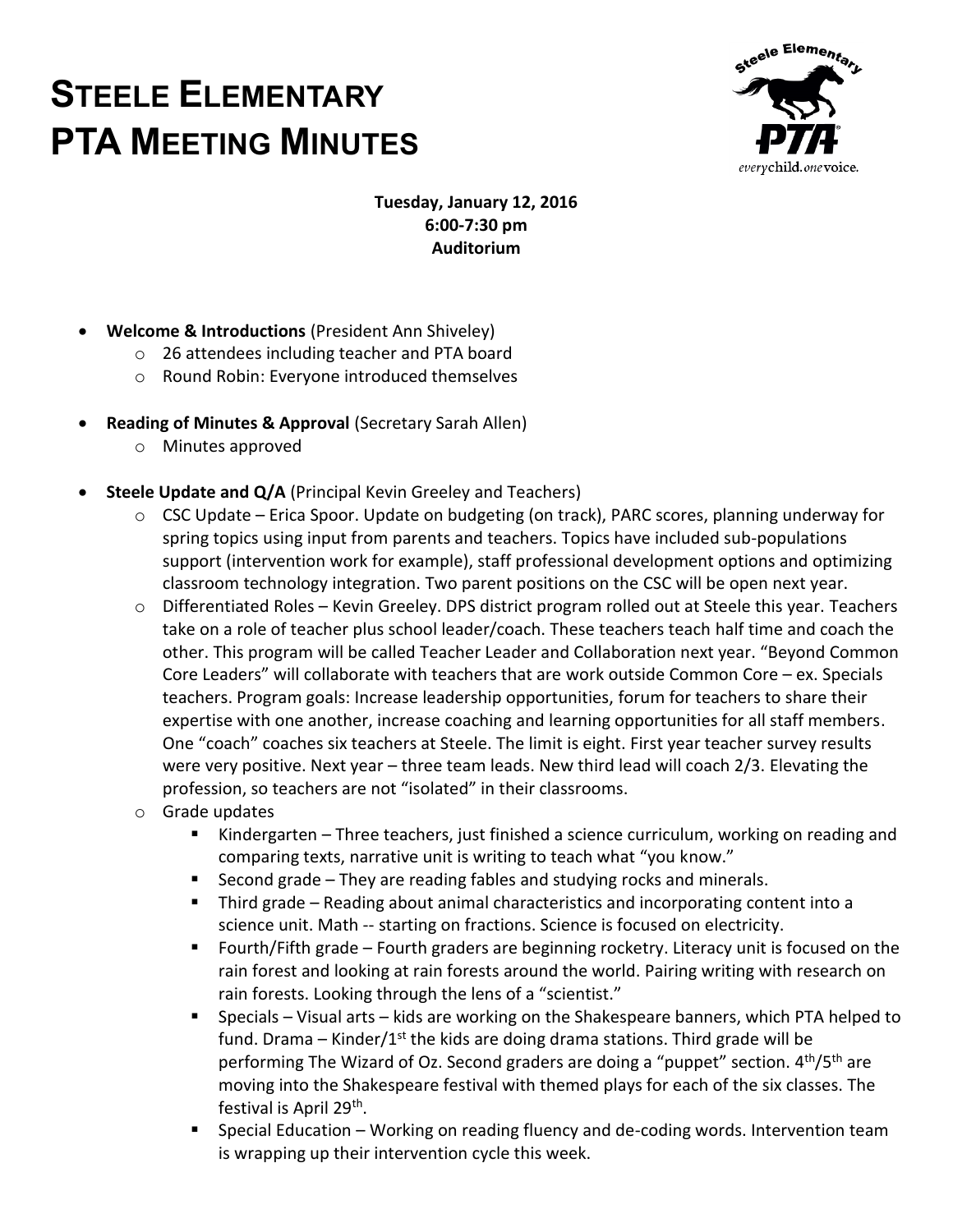## **STEELE ELEMENTARY PTA MEETING MINUTES**



**Tuesday, January 12, 2016 6:00-7:30 pm Auditorium**

- **Welcome & Introductions** (President Ann Shiveley)
	- o 26 attendees including teacher and PTA board
	- o Round Robin: Everyone introduced themselves
- **Reading of Minutes & Approval** (Secretary Sarah Allen)
	- o Minutes approved
- **Steele Update and Q/A** (Principal Kevin Greeley and Teachers)
	- $\circ$  CSC Update Erica Spoor. Update on budgeting (on track), PARC scores, planning underway for spring topics using input from parents and teachers. Topics have included sub-populations support (intervention work for example), staff professional development options and optimizing classroom technology integration. Two parent positions on the CSC will be open next year.
	- o Differentiated Roles Kevin Greeley. DPS district program rolled out at Steele this year. Teachers take on a role of teacher plus school leader/coach. These teachers teach half time and coach the other. This program will be called Teacher Leader and Collaboration next year. "Beyond Common Core Leaders" will collaborate with teachers that are work outside Common Core – ex. Specials teachers. Program goals: Increase leadership opportunities, forum for teachers to share their expertise with one another, increase coaching and learning opportunities for all staff members. One "coach" coaches six teachers at Steele. The limit is eight. First year teacher survey results were very positive. Next year – three team leads. New third lead will coach 2/3. Elevating the profession, so teachers are not "isolated" in their classrooms.
	- o Grade updates
		- Kindergarten Three teachers, just finished a science curriculum, working on reading and comparing texts, narrative unit is writing to teach what "you know."
		- Second grade They are reading fables and studying rocks and minerals.
		- Third grade Reading about animal characteristics and incorporating content into a science unit. Math -- starting on fractions. Science is focused on electricity.
		- Fourth/Fifth grade Fourth graders are beginning rocketry. Literacy unit is focused on the rain forest and looking at rain forests around the world. Pairing writing with research on rain forests. Looking through the lens of a "scientist."
		- Specials Visual arts kids are working on the Shakespeare banners, which PTA helped to fund. Drama – Kinder/ $1<sup>st</sup>$  the kids are doing drama stations. Third grade will be performing The Wizard of Oz. Second graders are doing a "puppet" section. 4<sup>th</sup>/5<sup>th</sup> are moving into the Shakespeare festival with themed plays for each of the six classes. The festival is April 29<sup>th</sup>.
		- Special Education Working on reading fluency and de-coding words. Intervention team is wrapping up their intervention cycle this week.